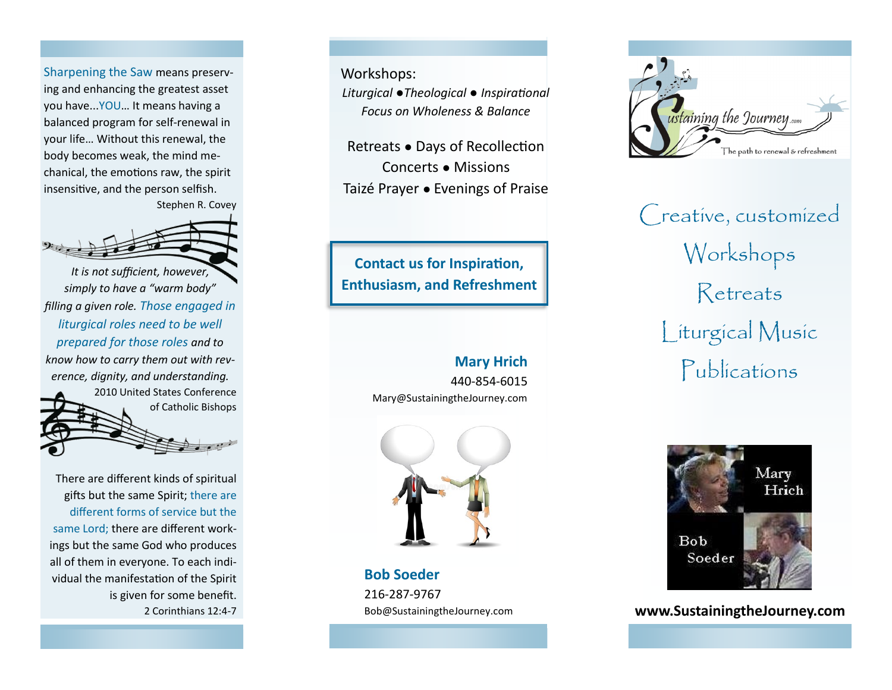Sharpening the Saw means preserving and enhancing the greatest asset you have...YOU… It means having a balanced program for self-renewal in your life… Without this renewal, the body becomes weak, the mind mechanical, the emotions raw, the spirit insensitive, and the person selfish.

Stephen R. Covey



*It is not sufficient, however, simply to have a "warm body" filling a given role. Those engaged in liturgical roles need to be well prepared for those roles and to know how to carry them out with reverence, dignity, and understanding.*  2010 United States Conference of Catholic Bishops

There are different kinds of spiritual gifts but the same Spirit; there are different forms of service but the same Lord; there are different workings but the same God who produces all of them in everyone. To each individual the manifestation of the Spirit is given for some benefit. 2 Corinthians 12:4-7 Workshops:

*Liturgical ●Theological ● Inspirational Focus on Wholeness & Balance*

Retreats *●* Days of Recollection Concerts *●* Missions Taizé Prayer *●* Evenings of Praise

**Contact us for Inspiration, Enthusiasm, and Refreshment**

### **Mary Hrich**

440-854-6015 Mary@SustainingtheJourney.com



**Bob Soeder** 216-287-9767 Bob@SustainingtheJourney.com



Creative, customized Workshops Retreats Liturgical Music Publications



**www.SustainingtheJourney.com**